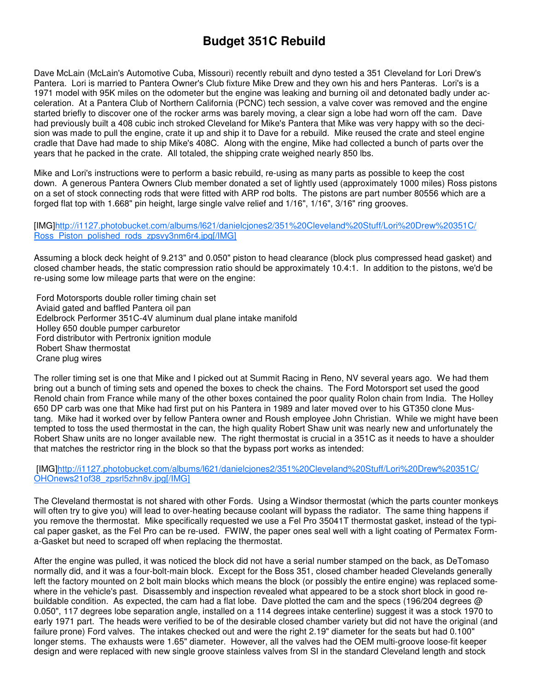## **Budget 351C Rebuild**

Dave McLain (McLain's Automotive Cuba, Missouri) recently rebuilt and dyno tested a 351 Cleveland for Lori Drew's Pantera. Lori is married to Pantera Owner's Club fixture Mike Drew and they own his and hers Panteras. Lori's is a 1971 model with 95K miles on the odometer but the engine was leaking and burning oil and detonated badly under acceleration. At a Pantera Club of Northern California (PCNC) tech session, a valve cover was removed and the engine started briefly to discover one of the rocker arms was barely moving, a clear sign a lobe had worn off the cam. Dave had previously built a 408 cubic inch stroked Cleveland for Mike's Pantera that Mike was very happy with so the decision was made to pull the engine, crate it up and ship it to Dave for a rebuild. Mike reused the crate and steel engine cradle that Dave had made to ship Mike's 408C. Along with the engine, Mike had collected a bunch of parts over the years that he packed in the crate. All totaled, the shipping crate weighed nearly 850 lbs.

Mike and Lori's instructions were to perform a basic rebuild, re-using as many parts as possible to keep the cost down. A generous Pantera Owners Club member donated a set of lightly used (approximately 1000 miles) Ross pistons on a set of stock connecting rods that were fitted with ARP rod bolts. The pistons are part number 80556 which are a forged flat top with 1.668" pin height, large single valve relief and 1/16", 1/16", 3/16" ring grooves.

## [IMG]http://i1127.photobucket.com/albums/l621/danielcjones2/351%20Cleveland%20Stuff/Lori%20Drew%20351C/ Ross\_Piston\_polished\_rods\_zpsvy3nm6r4.jpg[/IMG]

Assuming a block deck height of 9.213" and 0.050" piston to head clearance (block plus compressed head gasket) and closed chamber heads, the static compression ratio should be approximately 10.4:1. In addition to the pistons, we'd be re-using some low mileage parts that were on the engine:

 Ford Motorsports double roller timing chain set Aviaid gated and baffled Pantera oil pan Edelbrock Performer 351C-4V aluminum dual plane intake manifold Holley 650 double pumper carburetor Ford distributor with Pertronix ignition module Robert Shaw thermostat Crane plug wires

The roller timing set is one that Mike and I picked out at Summit Racing in Reno, NV several years ago. We had them bring out a bunch of timing sets and opened the boxes to check the chains. The Ford Motorsport set used the good Renold chain from France while many of the other boxes contained the poor quality Rolon chain from India. The Holley 650 DP carb was one that Mike had first put on his Pantera in 1989 and later moved over to his GT350 clone Mustang. Mike had it worked over by fellow Pantera owner and Roush employee John Christian. While we might have been tempted to toss the used thermostat in the can, the high quality Robert Shaw unit was nearly new and unfortunately the Robert Shaw units are no longer available new. The right thermostat is crucial in a 351C as it needs to have a shoulder that matches the restrictor ring in the block so that the bypass port works as intended:

 [IMG]http://i1127.photobucket.com/albums/l621/danielcjones2/351%20Cleveland%20Stuff/Lori%20Drew%20351C/ OHOnews21of38\_zpsrl5zhn8v.jpg[/IMG]

The Cleveland thermostat is not shared with other Fords. Using a Windsor thermostat (which the parts counter monkeys will often try to give you) will lead to over-heating because coolant will bypass the radiator. The same thing happens if you remove the thermostat. Mike specifically requested we use a Fel Pro 35041T thermostat gasket, instead of the typical paper gasket, as the Fel Pro can be re-used. FWIW, the paper ones seal well with a light coating of Permatex Forma-Gasket but need to scraped off when replacing the thermostat.

After the engine was pulled, it was noticed the block did not have a serial number stamped on the back, as DeTomaso normally did, and it was a four-bolt-main block. Except for the Boss 351, closed chamber headed Clevelands generally left the factory mounted on 2 bolt main blocks which means the block (or possibly the entire engine) was replaced somewhere in the vehicle's past. Disassembly and inspection revealed what appeared to be a stock short block in good rebuildable condition. As expected, the cam had a flat lobe. Dave plotted the cam and the specs (196/204 degrees @ 0.050", 117 degrees lobe separation angle, installed on a 114 degrees intake centerline) suggest it was a stock 1970 to early 1971 part. The heads were verified to be of the desirable closed chamber variety but did not have the original (and failure prone) Ford valves. The intakes checked out and were the right 2.19" diameter for the seats but had 0.100" longer stems. The exhausts were 1.65" diameter. However, all the valves had the OEM multi-groove loose-fit keeper design and were replaced with new single groove stainless valves from SI in the standard Cleveland length and stock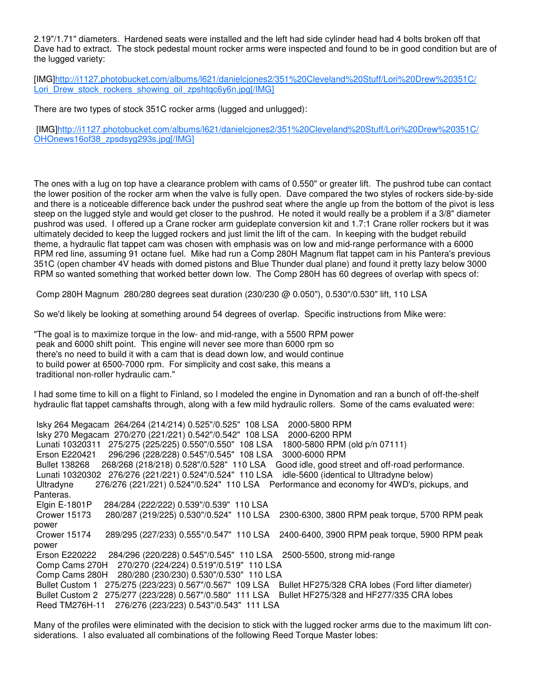2.19"/1.71" diameters. Hardened seats were installed and the left had side cylinder head had 4 bolts broken off that Dave had to extract. The stock pedestal mount rocker arms were inspected and found to be in good condition but are of the lugged variety:

[IMG]http://i1127.photobucket.com/albums/l621/danielcjones2/351%20Cleveland%20Stuff/Lori%20Drew%20351C/ Lori\_Drew\_stock\_rockers\_showing\_oil\_zpshtqc6y6n.jpg[/IMG]

There are two types of stock 351C rocker arms (lugged and unlugged):

 [IMG]http://i1127.photobucket.com/albums/l621/danielcjones2/351%20Cleveland%20Stuff/Lori%20Drew%20351C/ OHOnews16of38\_zpsdsyg293s.jpg[/IMG]

The ones with a lug on top have a clearance problem with cams of 0.550" or greater lift. The pushrod tube can contact the lower position of the rocker arm when the valve is fully open. Dave compared the two styles of rockers side-by-side and there is a noticeable difference back under the pushrod seat where the angle up from the bottom of the pivot is less steep on the lugged style and would get closer to the pushrod. He noted it would really be a problem if a 3/8" diameter pushrod was used. I offered up a Crane rocker arm guideplate conversion kit and 1.7:1 Crane roller rockers but it was ultimately decided to keep the lugged rockers and just limit the lift of the cam. In keeping with the budget rebuild theme, a hydraulic flat tappet cam was chosen with emphasis was on low and mid-range performance with a 6000 RPM red line, assuming 91 octane fuel. Mike had run a Comp 280H Magnum flat tappet cam in his Pantera's previous 351C (open chamber 4V heads with domed pistons and Blue Thunder dual plane) and found it pretty lazy below 3000 RPM so wanted something that worked better down low. The Comp 280H has 60 degrees of overlap with specs of:

Comp 280H Magnum 280/280 degrees seat duration (230/230 @ 0.050"), 0.530"/0.530" lift, 110 LSA

So we'd likely be looking at something around 54 degrees of overlap. Specific instructions from Mike were:

"The goal is to maximize torque in the low- and mid-range, with a 5500 RPM power peak and 6000 shift point. This engine will never see more than 6000 rpm so there's no need to build it with a cam that is dead down low, and would continue to build power at 6500-7000 rpm. For simplicity and cost sake, this means a traditional non-roller hydraulic cam."

I had some time to kill on a flight to Finland, so I modeled the engine in Dynomation and ran a bunch of off-the-shelf hydraulic flat tappet camshafts through, along with a few mild hydraulic rollers. Some of the cams evaluated were:

 Isky 264 Megacam 264/264 (214/214) 0.525"/0.525" 108 LSA 2000-5800 RPM Isky 270 Megacam 270/270 (221/221) 0.542"/0.542" 108 LSA 2000-6200 RPM Lunati 10320311 275/275 (225/225) 0.550"/0.550" 108 LSA 1800-5800 RPM (old p/n 07111) Erson E220421 296/296 (228/228) 0.545"/0.545" 108 LSA 3000-6000 RPM Bullet 138268 268/268 (218/218) 0.528"/0.528" 110 LSA Good idle, good street and off-road performance. Lunati 10320302 276/276 (221/221) 0.524"/0.524" 110 LSA idle-5600 (identical to Ultradyne below) 276/276 (221/221) 0.524"/0.524" 110 LSA Performance and economy for 4WD's, pickups, and Panteras. Elgin E-1801P 284/284 (222/222) 0.539"/0.539" 110 LSA<br>Crower 15173 280/287 (219/225) 0.530"/0.524" 110 LSA Crower 15173 280/287 (219/225) 0.530"/0.524" 110 LSA 2300-6300, 3800 RPM peak torque, 5700 RPM peak power Crower 15174 289/295 (227/233) 0.555"/0.547" 110 LSA 2400-6400, 3900 RPM peak torque, 5900 RPM peak power Erson E220222 284/296 (220/228) 0.545"/0.545" 110 LSA 2500-5500, strong mid-range Comp Cams 270H 270/270 (224/224) 0.519"/0.519" 110 LSA Comp Cams 280H 280/280 (230/230) 0.530"/0.530" 110 LSA Bullet Custom 1 275/275 (223/223) 0.567"/0.567" 109 LSA Bullet HF275/328 CRA lobes (Ford lifter diameter) Bullet Custom 2 275/277 (223/228) 0.567"/0.580" 111 LSA Bullet HF275/328 and HF277/335 CRA lobes Reed TM276H-11 276/276 (223/223) 0.543"/0.543" 111 LSA

Many of the profiles were eliminated with the decision to stick with the lugged rocker arms due to the maximum lift considerations. I also evaluated all combinations of the following Reed Torque Master lobes: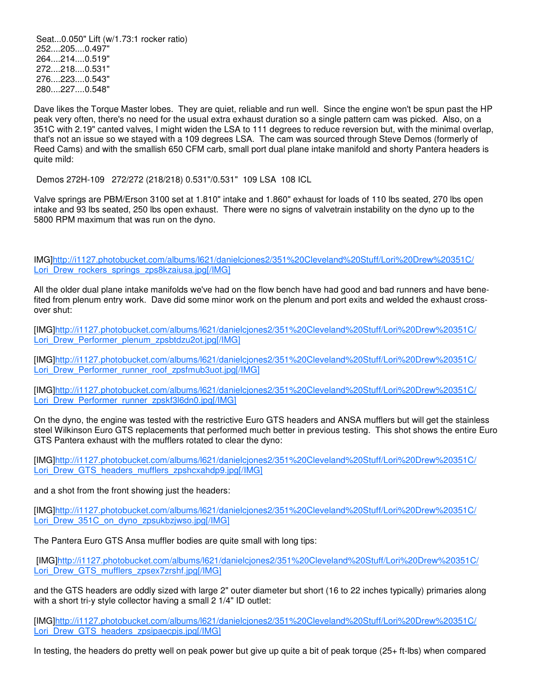Seat...0.050" Lift (w/1.73:1 rocker ratio) 252....205....0.497" 264....214....0.519" 272....218....0.531" 276....223....0.543" 280....227....0.548"

Dave likes the Torque Master lobes. They are quiet, reliable and run well. Since the engine won't be spun past the HP peak very often, there's no need for the usual extra exhaust duration so a single pattern cam was picked. Also, on a 351C with 2.19" canted valves, I might widen the LSA to 111 degrees to reduce reversion but, with the minimal overlap, that's not an issue so we stayed with a 109 degrees LSA. The cam was sourced through Steve Demos (formerly of Reed Cams) and with the smallish 650 CFM carb, small port dual plane intake manifold and shorty Pantera headers is quite mild:

Demos 272H-109 272/272 (218/218) 0.531"/0.531" 109 LSA 108 ICL

Valve springs are PBM/Erson 3100 set at 1.810" intake and 1.860" exhaust for loads of 110 lbs seated, 270 lbs open intake and 93 lbs seated, 250 lbs open exhaust. There were no signs of valvetrain instability on the dyno up to the 5800 RPM maximum that was run on the dyno.

IMG]http://i1127.photobucket.com/albums/l621/danielcjones2/351%20Cleveland%20Stuff/Lori%20Drew%20351C/ Lori\_Drew\_rockers\_springs\_zps8kzaiusa.jpg[/IMG]

All the older dual plane intake manifolds we've had on the flow bench have had good and bad runners and have benefited from plenum entry work. Dave did some minor work on the plenum and port exits and welded the exhaust crossover shut:

[IMG]http://i1127.photobucket.com/albums/l621/danielcjones2/351%20Cleveland%20Stuff/Lori%20Drew%20351C/ Lori\_Drew\_Performer\_plenum\_zpsbtdzu2ot.jpg[/IMG]

[IMG]http://i1127.photobucket.com/albums/l621/danielcjones2/351%20Cleveland%20Stuff/Lori%20Drew%20351C/ Lori\_Drew\_Performer\_runner\_roof\_zpsfmub3uot.jpg[/IMG]

[IMG]http://i1127.photobucket.com/albums/l621/danielcjones2/351%20Cleveland%20Stuff/Lori%20Drew%20351C/ Lori\_Drew\_Performer\_runner\_zpskf3l6dn0.jpg[/IMG]

On the dyno, the engine was tested with the restrictive Euro GTS headers and ANSA mufflers but will get the stainless steel Wilkinson Euro GTS replacements that performed much better in previous testing. This shot shows the entire Euro GTS Pantera exhaust with the mufflers rotated to clear the dyno:

[IMG]http://i1127.photobucket.com/albums/l621/danielcjones2/351%20Cleveland%20Stuff/Lori%20Drew%20351C/ Lori\_Drew\_GTS\_headers\_mufflers\_zpshcxahdp9.jpg[/IMG]

and a shot from the front showing just the headers:

[IMG]http://i1127.photobucket.com/albums/l621/danielcjones2/351%20Cleveland%20Stuff/Lori%20Drew%20351C/ Lori\_Drew\_351C\_on\_dyno\_zpsukbzjwso.jpg[/IMG]

The Pantera Euro GTS Ansa muffler bodies are quite small with long tips:

 [IMG]http://i1127.photobucket.com/albums/l621/danielcjones2/351%20Cleveland%20Stuff/Lori%20Drew%20351C/ Lori\_Drew\_GTS\_mufflers\_zpsex7zrshf.jpg[/IMG]

and the GTS headers are oddly sized with large 2" outer diameter but short (16 to 22 inches typically) primaries along with a short tri-y style collector having a small 2 1/4" ID outlet:

[IMG]http://i1127.photobucket.com/albums/l621/danielcjones2/351%20Cleveland%20Stuff/Lori%20Drew%20351C/ Lori\_Drew\_GTS\_headers\_zpsipaecpis.jpg[/IMG]

In testing, the headers do pretty well on peak power but give up quite a bit of peak torque (25+ ft-lbs) when compared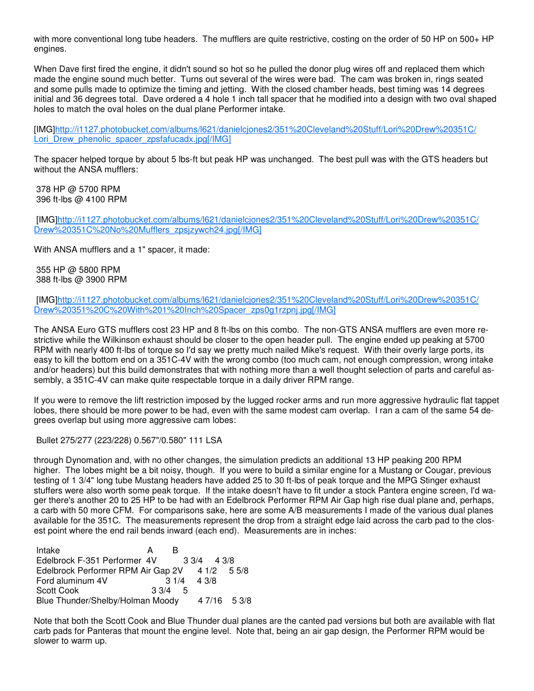with more conventional long tube headers. The mufflers are quite restrictive, costing on the order of 50 HP on 500+ HP engines.

When Dave first fired the engine, it didn't sound so hot so he pulled the donor plug wires off and replaced them which made the engine sound much better. Turns out several of the wires were bad. The cam was broken in, rings seated and some pulls made to optimize the timing and jetting. With the closed chamber heads, best timing was 14 degrees initial and 36 degrees total. Dave ordered a 4 hole 1 inch tall spacer that he modified into a design with two oval shaped holes to match the oval holes on the dual plane Performer intake.

[IMG]http://i1127.photobucket.com/albums/l621/danielcjones2/351%20Cleveland%20Stuff/Lori%20Drew%20351C/ Lori\_Drew\_phenolic\_spacer\_zpsfafucadx.jpg[/IMG]

The spacer helped torque by about 5 lbs-ft but peak HP was unchanged. The best pull was with the GTS headers but without the ANSA mufflers:

 378 HP @ 5700 RPM 396 ft-lbs @ 4100 RPM

 [IMG]http://i1127.photobucket.com/albums/l621/danielcjones2/351%20Cleveland%20Stuff/Lori%20Drew%20351C/ Drew%20351C%20No%20Mufflers\_zpsjzywch24.jpg[/IMG]

With ANSA mufflers and a 1" spacer, it made:

 355 HP @ 5800 RPM 388 ft-lbs @ 3900 RPM

 [IMG]http://i1127.photobucket.com/albums/l621/danielcjones2/351%20Cleveland%20Stuff/Lori%20Drew%20351C/ Drew%20351%20C%20With%201%20Inch%20Spacer\_zps0g1rzpnj.jpg[/IMG]

The ANSA Euro GTS mufflers cost 23 HP and 8 ft-lbs on this combo. The non-GTS ANSA mufflers are even more restrictive while the Wilkinson exhaust should be closer to the open header pull. The engine ended up peaking at 5700 RPM with nearly 400 ft-lbs of torque so I'd say we pretty much nailed Mike's request. With their overly large ports, its easy to kill the bottom end on a 351C-4V with the wrong combo (too much cam, not enough compression, wrong intake and/or headers) but this build demonstrates that with nothing more than a well thought selection of parts and careful assembly, a 351C-4V can make quite respectable torque in a daily driver RPM range.

If you were to remove the lift restriction imposed by the lugged rocker arms and run more aggressive hydraulic flat tappet lobes, there should be more power to be had, even with the same modest cam overlap. I ran a cam of the same 54 degrees overlap but using more aggressive cam lobes:

Bullet 275/277 (223/228) 0.567"/0.580" 111 LSA

through Dynomation and, with no other changes, the simulation predicts an additional 13 HP peaking 200 RPM higher. The lobes might be a bit noisy, though. If you were to build a similar engine for a Mustang or Cougar, previous testing of 1 3/4" long tube Mustang headers have added 25 to 30 ft-lbs of peak torque and the MPG Stinger exhaust stuffers were also worth some peak torque. If the intake doesn't have to fit under a stock Pantera engine screen, I'd wager there's another 20 to 25 HP to be had with an Edelbrock Performer RPM Air Gap high rise dual plane and, perhaps, a carb with 50 more CFM. For comparisons sake, here are some A/B measurements I made of the various dual planes available for the 351C. The measurements represent the drop from a straight edge laid across the carb pad to the closest point where the end rail bends inward (each end). Measurements are in inches:

| Intake                             |           | в |               |              |
|------------------------------------|-----------|---|---------------|--------------|
| Edelbrock F-351 Performer 4V       |           |   | $3.3/4$ 4.3/8 |              |
| Edelbrock Performer RPM Air Gap 2V |           |   |               | 4 1/2 5 5/8  |
| Ford aluminum 4V                   |           |   | $31/4$ 4 3/8  |              |
| <b>Scott Cook</b>                  | $3.3/4$ 5 |   |               |              |
| Blue Thunder/Shelby/Holman Moody   |           |   |               | 4 7/16 5 3/8 |

Note that both the Scott Cook and Blue Thunder dual planes are the canted pad versions but both are available with flat carb pads for Panteras that mount the engine level. Note that, being an air gap design, the Performer RPM would be slower to warm up.